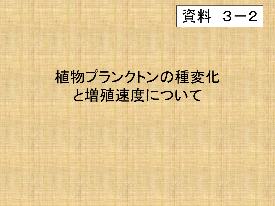資料 3-2

### 植物プランクトンの種変化 と増殖速度について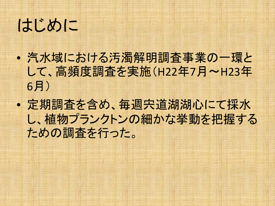はじめに

- 汽水域における汚濁解明調査事業の一環と して、高頻度調査を実施(H22年7月~H23年 6月)
- 定期調査を含め、毎週宍道湖湖心にて採水 し、植物プランクトンの細かな挙動を把握する ための調査を行った。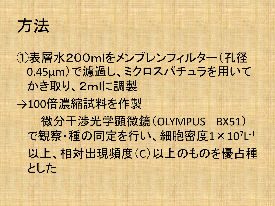## 方法

①表層水200mlをメンブレンフィルター(孔径 0.45μm)で濾過し、ミクロスパチュラを用いて かき取り、2mlに調製 →100倍濃縮試料を作製 微分干渉光学顕微鏡(OLYMPUS BX51) で観察・種の同定を行い、細胞密度1×107L-1 以上、相対出現頻度(C)以上のものを優占種 とした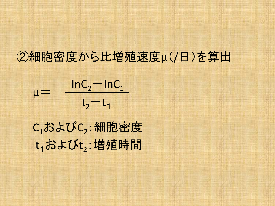#### ②細胞密度から比増殖速度μ(/日)を算出

$$
\mu = \frac{\ln C_2 - \ln C_1}{t_2 - t_1}
$$

C1およびC2:細胞密度  $t_1$ および $t_2$ : 増殖時間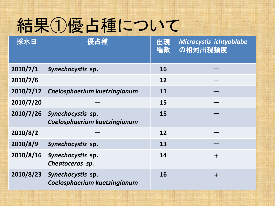# 結果①優占種について

| 採水日       | 優占種                                               | 出現<br>種数 | Microcystis ichtyoblabe<br>の相対出現頻度 |
|-----------|---------------------------------------------------|----------|------------------------------------|
| 2010/7/1  | Synechocystis sp.                                 | 16       |                                    |
| 2010/7/6  |                                                   | 12       |                                    |
| 2010/7/12 | Coelosphaerium kuetzingianum                      | 11       |                                    |
| 2010/7/20 |                                                   | 15       |                                    |
| 2010/7/26 | Synechocystis sp.<br>Coelosphaerium kuetzingianum | 15       |                                    |
| 2010/8/2  |                                                   | 12       |                                    |
| 2010/8/9  | Synechocystis sp.                                 | 13       |                                    |
| 2010/8/16 | Synechocystis sp.<br>Cheatoceros sp.              | 14       | $\ddot{}$                          |
| 2010/8/23 | Synechocystis sp.<br>Coelosphaerium kuetzingianum | 16       | $\ddot{}$                          |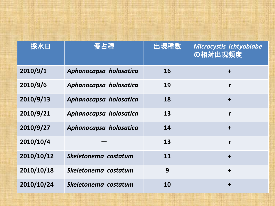| 採水日        | 優占種                    | 出現種数 | Microcystis ichtyoblabe<br>の相対出現頻度 |
|------------|------------------------|------|------------------------------------|
| 2010/9/1   | Aphanocapsa holosatica | 16   | $\ddagger$                         |
| 2010/9/6   | Aphanocapsa holosatica | 19   | $\mathbf{r}$                       |
| 2010/9/13  | Aphanocapsa holosatica | 18   | $\ddot{+}$                         |
| 2010/9/21  | Aphanocapsa holosatica | 13   | r                                  |
| 2010/9/27  | Aphanocapsa holosatica | 14   | $\div$                             |
| 2010/10/4  |                        | 13   | $\mathbf{r}$                       |
| 2010/10/12 | Skeletonema costatum   | 11   | $\div$                             |
| 2010/10/18 | Skeletonema costatum   | 9    | $\div$                             |
| 2010/10/24 | Skeletonema costatum   | 10   | $\div$                             |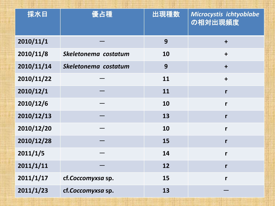| 採水日        | 優占種                  | 出現種数 | Microcystis ichtyoblabe<br>の相対出現頻度 |
|------------|----------------------|------|------------------------------------|
| 2010/11/1  |                      | 9    | $\ddot{\phantom{1}}$               |
| 2010/11/8  | Skeletonema costatum | 10   | $\ddot{\phantom{1}}$               |
| 2010/11/14 | Skeletonema costatum | 9    | $\ddot{\phantom{1}}$               |
| 2010/11/22 |                      | 11   | $\ddagger$                         |
| 2010/12/1  |                      | 11   | r                                  |
| 2010/12/6  |                      | 10   | r                                  |
| 2010/12/13 |                      | 13   | $\mathbf{r}$                       |
| 2010/12/20 |                      | 10   | r                                  |
| 2010/12/28 |                      | 15   | r                                  |
| 2011/1/5   |                      | 14   | r                                  |
| 2011/1/11  |                      | 12   | $\mathsf{r}$                       |
| 2011/1/17  | cf.Coccomyxsa sp.    | 15   | r                                  |
| 2011/1/23  | cf.Coccomyxsa sp.    | 13   |                                    |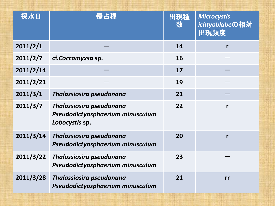| 採水日       | 優占種                                                                            | 出現種<br>数 | <b>Microcystis</b><br>ichtyoblabeの相対<br>出現頻度 |
|-----------|--------------------------------------------------------------------------------|----------|----------------------------------------------|
| 2011/2/1  |                                                                                | 14       | r                                            |
| 2011/2/7  | cf.Coccomyxsa sp.                                                              | 16       |                                              |
| 2011/2/14 |                                                                                | 17       |                                              |
| 2011/2/21 |                                                                                | 19       |                                              |
| 2011/3/1  | Thalassiosira pseudonana                                                       | 21       |                                              |
| 2011/3/7  | Thalassiosira pseudonana<br>Pseudodictyosphaerium minusculum<br>Lobocystis sp. | 22       | r                                            |
| 2011/3/14 | Thalassiosira pseudonana<br>Pseudodictyosphaerium minusculum                   | 20       | r                                            |
| 2011/3/22 | Thalassiosira pseudonana<br>Pseudodictyosphaerium minusculum                   | 23       |                                              |
| 2011/3/28 | Thalassiosira pseudonana<br>Pseudodictyosphaerium minusculum                   | 21       | rr                                           |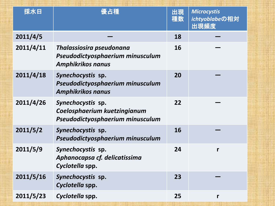| 採水日       | 優占種                                                                                      | 出現<br>種数 | <b>Microcystis</b><br>ichtyoblabeの相対<br>出現頻度 |
|-----------|------------------------------------------------------------------------------------------|----------|----------------------------------------------|
| 2011/4/5  |                                                                                          | 18       |                                              |
| 2011/4/11 | Thalassiosira pseudonana<br>Pseudodictyosphaerium minusculum<br><b>Amphikrikos nanus</b> | 16       |                                              |
| 2011/4/18 | Synechocystis sp.<br>Pseudodictyosphaerium minusculum<br><b>Amphikrikos nanus</b>        | 20       |                                              |
| 2011/4/26 | Synechocystis sp.<br>Coelosphaerium kuetzingianum<br>Pseudodictyosphaerium minusculum    | 22       |                                              |
| 2011/5/2  | Synechocystis sp.<br>Pseudodictyosphaerium minusculum                                    | 16       |                                              |
| 2011/5/9  | Synechocystis sp.<br>Aphanocapsa cf. delicatissima<br>Cyclotella spp.                    | 24       | r                                            |
| 2011/5/16 | Synechocystis sp.<br>Cyclotella spp.                                                     | 23       |                                              |
| 2011/5/23 | Cyclotella spp.                                                                          | 25       | r                                            |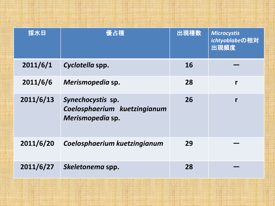| 採水日       | 優占種                                                                   | 出現種数 | <b>Microcystis</b><br>ichtyoblabeの相対<br>出現頻度 |
|-----------|-----------------------------------------------------------------------|------|----------------------------------------------|
| 2011/6/1  | Cyclotella spp.                                                       | 16   |                                              |
| 2011/6/6  | Merismopedia sp.                                                      | 28   | r                                            |
| 2011/6/13 | Synechocystis sp.<br>Coelosphaerium kuetzingianum<br>Merismopedia sp. | 26   | r                                            |
| 2011/6/20 | Coelosphaerium kuetzingianum                                          | 29   |                                              |
| 2011/6/27 | Skeletonema spp.                                                      | 28   |                                              |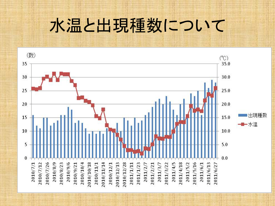#### 水温と出現種数について

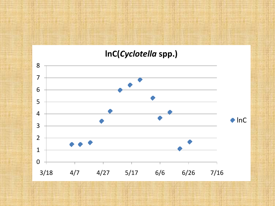#### **lnC(***Cyclotella* **spp.)**

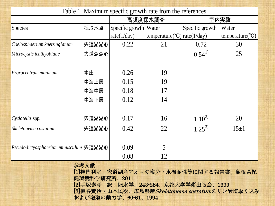| Table 1 Maximum specific growth rate from the references |       |                       |                                          |                 |                              |  |
|----------------------------------------------------------|-------|-----------------------|------------------------------------------|-----------------|------------------------------|--|
|                                                          |       | 高頻度採水調査               |                                          | 室内実験            |                              |  |
| <b>Species</b>                                           | 採取地点  | Specific growth Water |                                          | Specific growth | Water                        |  |
|                                                          |       | rate(1/day)           | temperature( ${}^{\circ}C$ ) rate(1/day) |                 | temperature( ${}^{\circ}C$ ) |  |
| Coelosphaerium kuetzingianum                             | 宍道湖湖心 | 0.22                  | 21                                       | 0.72            | 30                           |  |
| Microcystis ichthyoblabe                                 | 宍道湖湖心 |                       |                                          | $0.54^{1}$      | 25                           |  |
|                                                          |       |                       |                                          |                 |                              |  |
| Prorocentrum minimum                                     | 本庄    | 0.26                  | 19                                       |                 |                              |  |
|                                                          | 中海上層  | 0.15                  | 19                                       |                 |                              |  |
|                                                          | 中海中層  | 0.18                  | 17                                       |                 |                              |  |
|                                                          | 中海下層  | 0.12                  | 14                                       |                 |                              |  |
|                                                          |       |                       |                                          |                 |                              |  |
| Cyclotella spp.                                          | 宍道湖湖心 | 0.17                  | 16                                       | $1.10^{2}$      | 20                           |  |
| Skeletonema costatum                                     | 宍道湖湖心 | 0.42                  | 22                                       | $1.25^{3}$      | $15\pm1$                     |  |
|                                                          |       |                       |                                          |                 |                              |  |
| Pseudodictyosphaerium minusculum 宍道湖湖心                   |       | 0.09                  | 5                                        |                 |                              |  |
|                                                          |       | 0.08                  | 12                                       |                 |                              |  |
| 参考文献                                                     |       |                       |                                          |                 |                              |  |

[1]神門利之 宍道湖産アオコの塩分・水温耐性等に関する報告書、島根県保 健環境科学研究所、2011 [2]手塚泰彦 訳:陸水学、243-284、京都大学学術出版会、1999 [3]樽谷賢治·山本民次、広島県産Skeletonema costatumのリン酸塩取り込み および増殖の動力学、60-61、1994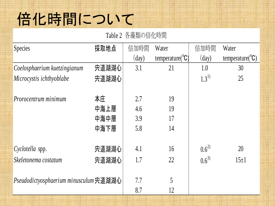#### 倍化時間について

Table 2 各藻類の倍化時間

| Species                                | 採取地点  | 倍加時間           | Water                        | 倍加時間           | Water                        |
|----------------------------------------|-------|----------------|------------------------------|----------------|------------------------------|
|                                        |       | $\text{(day)}$ | temperature( ${}^{\circ}C$ ) | $\text{(day)}$ | temperature( ${}^{\circ}C$ ) |
| Coelosphaerium kuetzingianum           | 宍道湖湖心 | 3.1            | 21                           | 1.0            | 30 <sup>°</sup>              |
| Microcystis ichthyoblabe               | 宍道湖湖心 |                |                              | $1.3^{1}$      | 25                           |
|                                        |       |                |                              |                |                              |
| Prorocentrum minimum                   | 本庄    | 2.7            | 19                           |                |                              |
|                                        | 中海上層  | 4.6            | 19                           |                |                              |
|                                        | 中海中層  | 3.9            | 17                           |                |                              |
|                                        | 中海下層  | 5.8            | 14                           |                |                              |
|                                        |       |                |                              |                |                              |
| Cyclotella spp.                        | 宍道湖湖心 | 4.1            | 16                           | $0.6^{2}$      | 20                           |
| Skeletonema costatum                   | 宍道湖湖心 | 1.7            | 22                           | $0.6^{3}$      | $15+1$                       |
|                                        |       |                |                              |                |                              |
| Pseudodictyosphaerium minusculum 宍道湖湖心 |       | 7.7            | 5                            |                |                              |
|                                        |       | 8.7            | 12                           |                |                              |